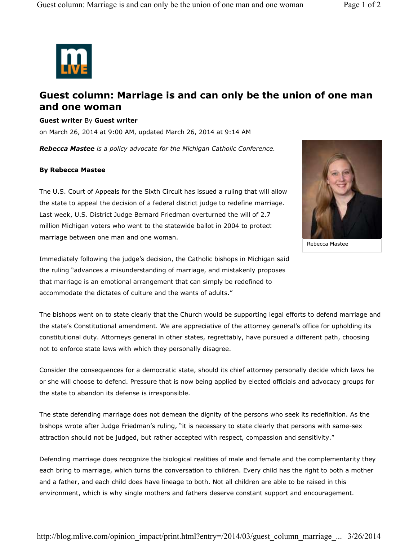

## **Guest column: Marriage is and can only be the union of one man and one woman**

## **Guest writer** By **Guest writer**

on March 26, 2014 at 9:00 AM, updated March 26, 2014 at 9:14 AM

*Rebecca Mastee is a policy advocate for the Michigan Catholic Conference.*

## **By Rebecca Mastee**

The U.S. Court of Appeals for the Sixth Circuit has issued a ruling that will allow the state to appeal the decision of a federal district judge to redefine marriage. Last week, U.S. District Judge Bernard Friedman overturned the will of 2.7 million Michigan voters who went to the statewide ballot in 2004 to protect marriage between one man and one woman.



Rebecca Mastee

Immediately following the judge's decision, the Catholic bishops in Michigan said the ruling "advances a misunderstanding of marriage, and mistakenly proposes that marriage is an emotional arrangement that can simply be redefined to accommodate the dictates of culture and the wants of adults."

The bishops went on to state clearly that the Church would be supporting legal efforts to defend marriage and the state's Constitutional amendment. We are appreciative of the attorney general's office for upholding its constitutional duty. Attorneys general in other states, regrettably, have pursued a different path, choosing not to enforce state laws with which they personally disagree.

Consider the consequences for a democratic state, should its chief attorney personally decide which laws he or she will choose to defend. Pressure that is now being applied by elected officials and advocacy groups for the state to abandon its defense is irresponsible.

The state defending marriage does not demean the dignity of the persons who seek its redefinition. As the bishops wrote after Judge Friedman's ruling, "it is necessary to state clearly that persons with same-sex attraction should not be judged, but rather accepted with respect, compassion and sensitivity."

Defending marriage does recognize the biological realities of male and female and the complementarity they each bring to marriage, which turns the conversation to children. Every child has the right to both a mother and a father, and each child does have lineage to both. Not all children are able to be raised in this environment, which is why single mothers and fathers deserve constant support and encouragement.